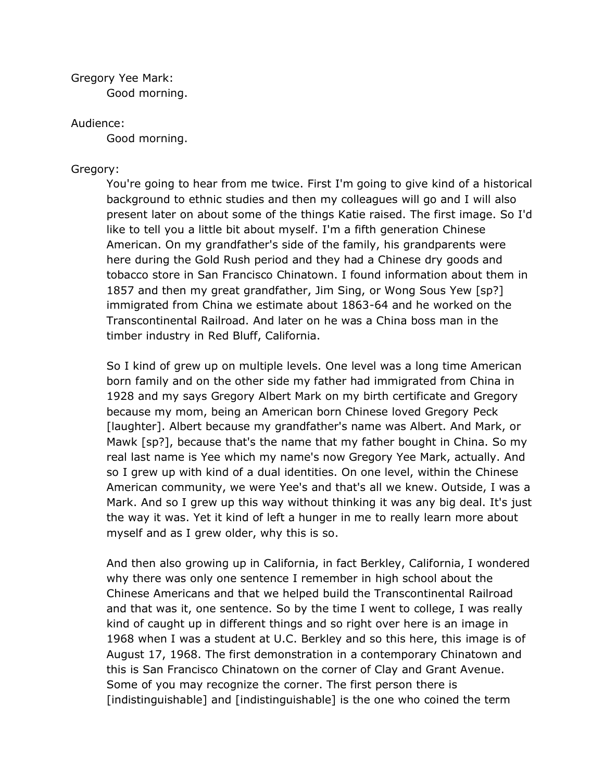Gregory Yee Mark: Good morning.

## Audience:

Good morning.

## Gregory:

You're going to hear from me twice. First I'm going to give kind of a historical background to ethnic studies and then my colleagues will go and I will also present later on about some of the things Katie raised. The first image. So I'd like to tell you a little bit about myself. I'm a fifth generation Chinese American. On my grandfather's side of the family, his grandparents were here during the Gold Rush period and they had a Chinese dry goods and tobacco store in San Francisco Chinatown. I found information about them in 1857 and then my great grandfather, Jim Sing, or Wong Sous Yew [sp?] immigrated from China we estimate about 1863-64 and he worked on the Transcontinental Railroad. And later on he was a China boss man in the timber industry in Red Bluff, California.

So I kind of grew up on multiple levels. One level was a long time American born family and on the other side my father had immigrated from China in 1928 and my says Gregory Albert Mark on my birth certificate and Gregory because my mom, being an American born Chinese loved Gregory Peck [laughter]. Albert because my grandfather's name was Albert. And Mark, or Mawk [sp?], because that's the name that my father bought in China. So my real last name is Yee which my name's now Gregory Yee Mark, actually. And so I grew up with kind of a dual identities. On one level, within the Chinese American community, we were Yee's and that's all we knew. Outside, I was a Mark. And so I grew up this way without thinking it was any big deal. It's just the way it was. Yet it kind of left a hunger in me to really learn more about myself and as I grew older, why this is so.

And then also growing up in California, in fact Berkley, California, I wondered why there was only one sentence I remember in high school about the Chinese Americans and that we helped build the Transcontinental Railroad and that was it, one sentence. So by the time I went to college, I was really kind of caught up in different things and so right over here is an image in 1968 when I was a student at U.C. Berkley and so this here, this image is of August 17, 1968. The first demonstration in a contemporary Chinatown and this is San Francisco Chinatown on the corner of Clay and Grant Avenue. Some of you may recognize the corner. The first person there is [indistinguishable] and [indistinguishable] is the one who coined the term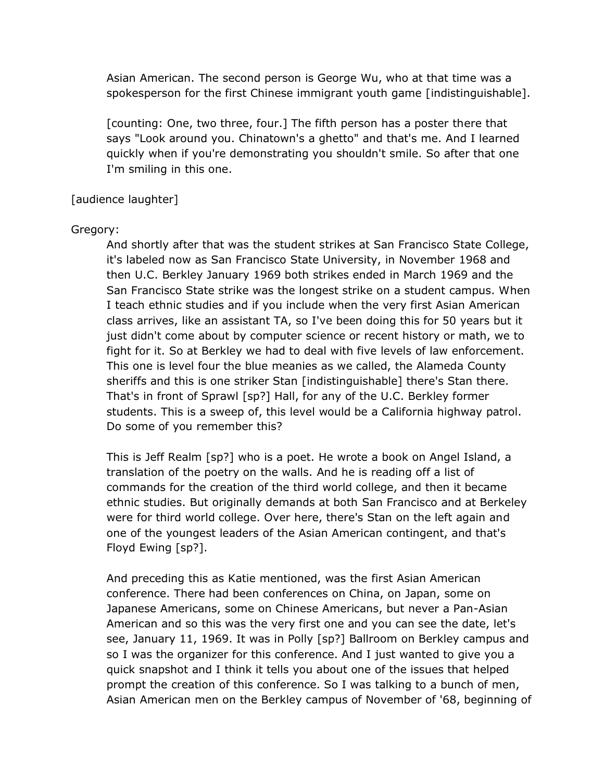Asian American. The second person is George Wu, who at that time was a spokesperson for the first Chinese immigrant youth game [indistinguishable].

[counting: One, two three, four.] The fifth person has a poster there that says "Look around you. Chinatown's a ghetto" and that's me. And I learned quickly when if you're demonstrating you shouldn't smile. So after that one I'm smiling in this one.

## [audience laughter]

## Gregory:

And shortly after that was the student strikes at San Francisco State College, it's labeled now as San Francisco State University, in November 1968 and then U.C. Berkley January 1969 both strikes ended in March 1969 and the San Francisco State strike was the longest strike on a student campus. When I teach ethnic studies and if you include when the very first Asian American class arrives, like an assistant TA, so I've been doing this for 50 years but it just didn't come about by computer science or recent history or math, we to fight for it. So at Berkley we had to deal with five levels of law enforcement. This one is level four the blue meanies as we called, the Alameda County sheriffs and this is one striker Stan [indistinguishable] there's Stan there. That's in front of Sprawl [sp?] Hall, for any of the U.C. Berkley former students. This is a sweep of, this level would be a California highway patrol. Do some of you remember this?

This is Jeff Realm [sp?] who is a poet. He wrote a book on Angel Island, a translation of the poetry on the walls. And he is reading off a list of commands for the creation of the third world college, and then it became ethnic studies. But originally demands at both San Francisco and at Berkeley were for third world college. Over here, there's Stan on the left again and one of the youngest leaders of the Asian American contingent, and that's Floyd Ewing [sp?].

And preceding this as Katie mentioned, was the first Asian American conference. There had been conferences on China, on Japan, some on Japanese Americans, some on Chinese Americans, but never a Pan-Asian American and so this was the very first one and you can see the date, let's see, January 11, 1969. It was in Polly [sp?] Ballroom on Berkley campus and so I was the organizer for this conference. And I just wanted to give you a quick snapshot and I think it tells you about one of the issues that helped prompt the creation of this conference. So I was talking to a bunch of men, Asian American men on the Berkley campus of November of '68, beginning of